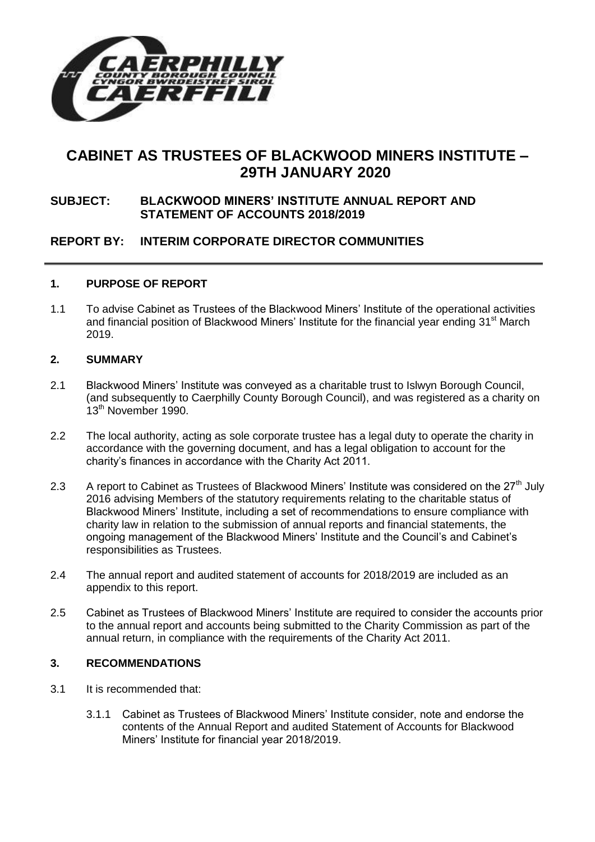

# **CABINET AS TRUSTEES OF BLACKWOOD MINERS INSTITUTE – 29TH JANUARY 2020**

### **SUBJECT: BLACKWOOD MINERS' INSTITUTE ANNUAL REPORT AND STATEMENT OF ACCOUNTS 2018/2019**

# **REPORT BY: INTERIM CORPORATE DIRECTOR COMMUNITIES**

### **1. PURPOSE OF REPORT**

1.1 To advise Cabinet as Trustees of the Blackwood Miners' Institute of the operational activities and financial position of Blackwood Miners' Institute for the financial year ending 31<sup>st</sup> March 2019.

### **2. SUMMARY**

- 2.1 Blackwood Miners' Institute was conveyed as a charitable trust to Islwyn Borough Council, (and subsequently to Caerphilly County Borough Council), and was registered as a charity on 13<sup>th</sup> November 1990.
- 2.2 The local authority, acting as sole corporate trustee has a legal duty to operate the charity in accordance with the governing document, and has a legal obligation to account for the charity's finances in accordance with the Charity Act 2011.
- 2.3 A report to Cabinet as Trustees of Blackwood Miners' Institute was considered on the 27<sup>th</sup> July 2016 advising Members of the statutory requirements relating to the charitable status of Blackwood Miners' Institute, including a set of recommendations to ensure compliance with charity law in relation to the submission of annual reports and financial statements, the ongoing management of the Blackwood Miners' Institute and the Council's and Cabinet's responsibilities as Trustees.
- 2.4 The annual report and audited statement of accounts for 2018/2019 are included as an appendix to this report.
- 2.5 Cabinet as Trustees of Blackwood Miners' Institute are required to consider the accounts prior to the annual report and accounts being submitted to the Charity Commission as part of the annual return, in compliance with the requirements of the Charity Act 2011.

### **3. RECOMMENDATIONS**

- 3.1 It is recommended that:
	- 3.1.1 Cabinet as Trustees of Blackwood Miners' Institute consider, note and endorse the contents of the Annual Report and audited Statement of Accounts for Blackwood Miners' Institute for financial year 2018/2019.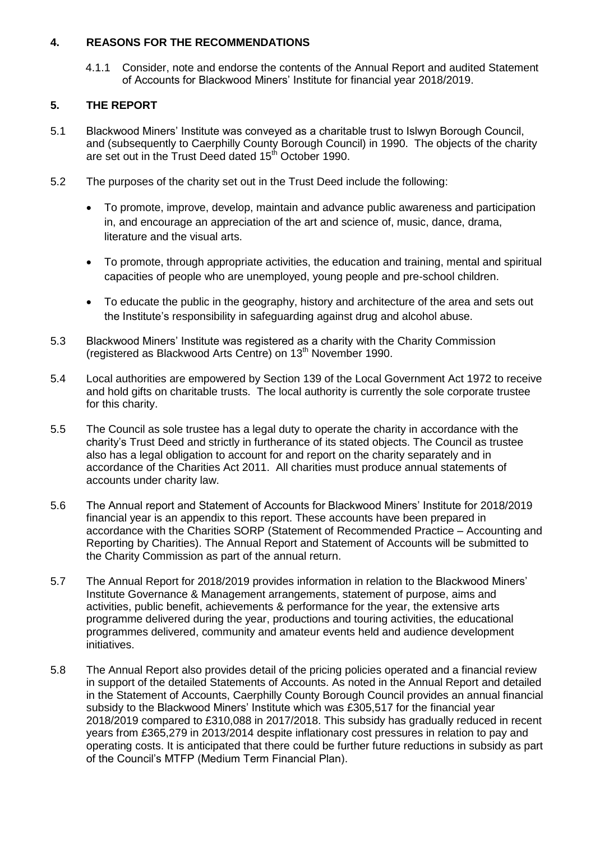### **4. REASONS FOR THE RECOMMENDATIONS**

4.1.1 Consider, note and endorse the contents of the Annual Report and audited Statement of Accounts for Blackwood Miners' Institute for financial year 2018/2019.

### **5. THE REPORT**

- 5.1 Blackwood Miners' Institute was conveyed as a charitable trust to Islwyn Borough Council, and (subsequently to Caerphilly County Borough Council) in 1990. The objects of the charity are set out in the Trust Deed dated 15<sup>th</sup> October 1990.
- 5.2 The purposes of the charity set out in the Trust Deed include the following:
	- To promote, improve, develop, maintain and advance public awareness and participation in, and encourage an appreciation of the art and science of, music, dance, drama, literature and the visual arts.
	- To promote, through appropriate activities, the education and training, mental and spiritual capacities of people who are unemployed, young people and pre-school children.
	- To educate the public in the geography, history and architecture of the area and sets out the Institute's responsibility in safeguarding against drug and alcohol abuse.
- 5.3 Blackwood Miners' Institute was registered as a charity with the Charity Commission (registered as Blackwood Arts Centre) on 13<sup>th</sup> November 1990.
- 5.4 Local authorities are empowered by Section 139 of the Local Government Act 1972 to receive and hold gifts on charitable trusts. The local authority is currently the sole corporate trustee for this charity.
- 5.5 The Council as sole trustee has a legal duty to operate the charity in accordance with the charity's Trust Deed and strictly in furtherance of its stated objects. The Council as trustee also has a legal obligation to account for and report on the charity separately and in accordance of the Charities Act 2011. All charities must produce annual statements of accounts under charity law.
- 5.6 The Annual report and Statement of Accounts for Blackwood Miners' Institute for 2018/2019 financial year is an appendix to this report. These accounts have been prepared in accordance with the Charities SORP (Statement of Recommended Practice – Accounting and Reporting by Charities). The Annual Report and Statement of Accounts will be submitted to the Charity Commission as part of the annual return.
- 5.7 The Annual Report for 2018/2019 provides information in relation to the Blackwood Miners' Institute Governance & Management arrangements, statement of purpose, aims and activities, public benefit, achievements & performance for the year, the extensive arts programme delivered during the year, productions and touring activities, the educational programmes delivered, community and amateur events held and audience development initiatives.
- 5.8 The Annual Report also provides detail of the pricing policies operated and a financial review in support of the detailed Statements of Accounts. As noted in the Annual Report and detailed in the Statement of Accounts, Caerphilly County Borough Council provides an annual financial subsidy to the Blackwood Miners' Institute which was £305,517 for the financial year 2018/2019 compared to £310,088 in 2017/2018. This subsidy has gradually reduced in recent years from £365,279 in 2013/2014 despite inflationary cost pressures in relation to pay and operating costs. It is anticipated that there could be further future reductions in subsidy as part of the Council's MTFP (Medium Term Financial Plan).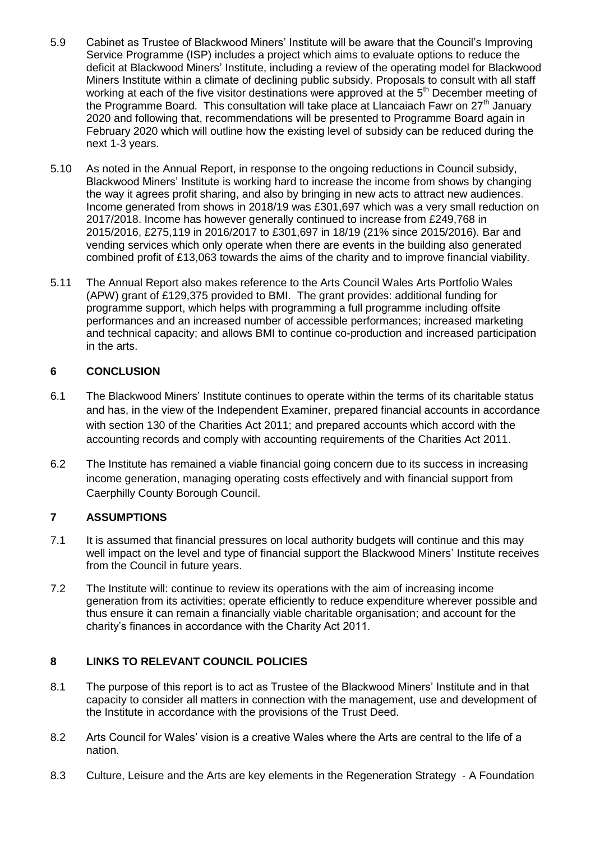- 5.9 Cabinet as Trustee of Blackwood Miners' Institute will be aware that the Council's Improving Service Programme (ISP) includes a project which aims to evaluate options to reduce the deficit at Blackwood Miners' Institute, including a review of the operating model for Blackwood Miners Institute within a climate of declining public subsidy. Proposals to consult with all staff working at each of the five visitor destinations were approved at the 5<sup>th</sup> December meeting of the Programme Board. This consultation will take place at Llancaiach Fawr on  $27<sup>th</sup>$  January 2020 and following that, recommendations will be presented to Programme Board again in February 2020 which will outline how the existing level of subsidy can be reduced during the next 1-3 years.
- 5.10 As noted in the Annual Report, in response to the ongoing reductions in Council subsidy, Blackwood Miners' Institute is working hard to increase the income from shows by changing the way it agrees profit sharing, and also by bringing in new acts to attract new audiences. Income generated from shows in 2018/19 was £301,697 which was a very small reduction on 2017/2018. Income has however generally continued to increase from £249,768 in 2015/2016, £275,119 in 2016/2017 to £301,697 in 18/19 (21% since 2015/2016). Bar and vending services which only operate when there are events in the building also generated combined profit of £13,063 towards the aims of the charity and to improve financial viability.
- 5.11 The Annual Report also makes reference to the Arts Council Wales Arts Portfolio Wales (APW) grant of £129,375 provided to BMI. The grant provides: additional funding for programme support, which helps with programming a full programme including offsite performances and an increased number of accessible performances; increased marketing and technical capacity; and allows BMI to continue co-production and increased participation in the arts.

### **6 CONCLUSION**

- 6.1 The Blackwood Miners' Institute continues to operate within the terms of its charitable status and has, in the view of the Independent Examiner, prepared financial accounts in accordance with section 130 of the Charities Act 2011; and prepared accounts which accord with the accounting records and comply with accounting requirements of the Charities Act 2011.
- 6.2 The Institute has remained a viable financial going concern due to its success in increasing income generation, managing operating costs effectively and with financial support from Caerphilly County Borough Council.

### **7 ASSUMPTIONS**

- 7.1 It is assumed that financial pressures on local authority budgets will continue and this may well impact on the level and type of financial support the Blackwood Miners' Institute receives from the Council in future years.
- 7.2 The Institute will: continue to review its operations with the aim of increasing income generation from its activities; operate efficiently to reduce expenditure wherever possible and thus ensure it can remain a financially viable charitable organisation; and account for the charity's finances in accordance with the Charity Act 2011.

### **8 LINKS TO RELEVANT COUNCIL POLICIES**

- 8.1 The purpose of this report is to act as Trustee of the Blackwood Miners' Institute and in that capacity to consider all matters in connection with the management, use and development of the Institute in accordance with the provisions of the Trust Deed.
- 8.2 Arts Council for Wales' vision is a creative Wales where the Arts are central to the life of a nation.
- 8.3 Culture, Leisure and the Arts are key elements in the Regeneration Strategy A Foundation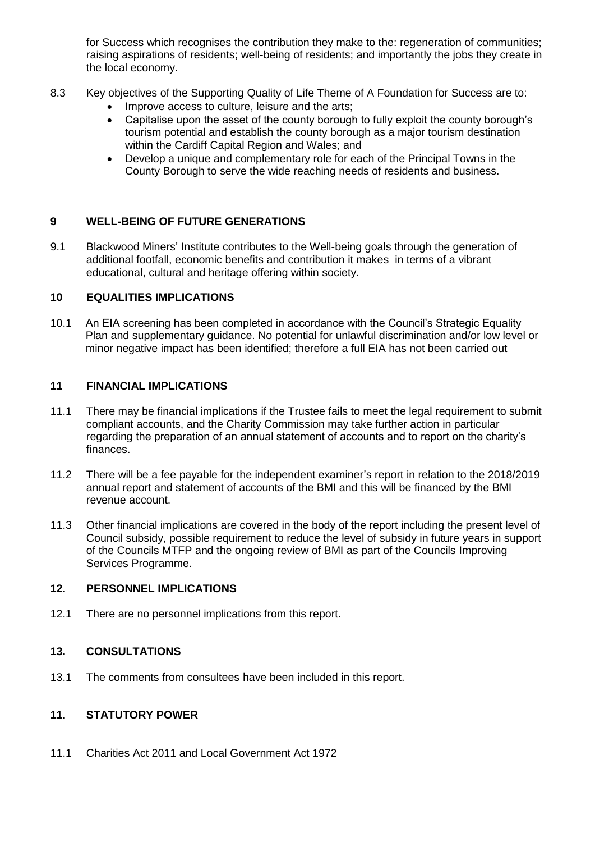for Success which recognises the contribution they make to the: regeneration of communities: raising aspirations of residents; well-being of residents; and importantly the jobs they create in the local economy.

- 8.3 Key objectives of the Supporting Quality of Life Theme of A Foundation for Success are to:
	- Improve access to culture, leisure and the arts;
	- Capitalise upon the asset of the county borough to fully exploit the county borough's tourism potential and establish the county borough as a major tourism destination within the Cardiff Capital Region and Wales; and
	- Develop a unique and complementary role for each of the Principal Towns in the County Borough to serve the wide reaching needs of residents and business.

### **9 WELL-BEING OF FUTURE GENERATIONS**

9.1 Blackwood Miners' Institute contributes to the Well-being goals through the generation of additional footfall, economic benefits and contribution it makes in terms of a vibrant educational, cultural and heritage offering within society.

### **10 EQUALITIES IMPLICATIONS**

10.1 An EIA screening has been completed in accordance with the Council's Strategic Equality Plan and supplementary guidance. No potential for unlawful discrimination and/or low level or minor negative impact has been identified; therefore a full EIA has not been carried out

### **11 FINANCIAL IMPLICATIONS**

- 11.1 There may be financial implications if the Trustee fails to meet the legal requirement to submit compliant accounts, and the Charity Commission may take further action in particular regarding the preparation of an annual statement of accounts and to report on the charity's finances.
- 11.2 There will be a fee payable for the independent examiner's report in relation to the 2018/2019 annual report and statement of accounts of the BMI and this will be financed by the BMI revenue account.
- 11.3 Other financial implications are covered in the body of the report including the present level of Council subsidy, possible requirement to reduce the level of subsidy in future years in support of the Councils MTFP and the ongoing review of BMI as part of the Councils Improving Services Programme.

### **12. PERSONNEL IMPLICATIONS**

12.1 There are no personnel implications from this report.

### **13. CONSULTATIONS**

13.1 The comments from consultees have been included in this report.

### **11. STATUTORY POWER**

11.1 Charities Act 2011 and Local Government Act 1972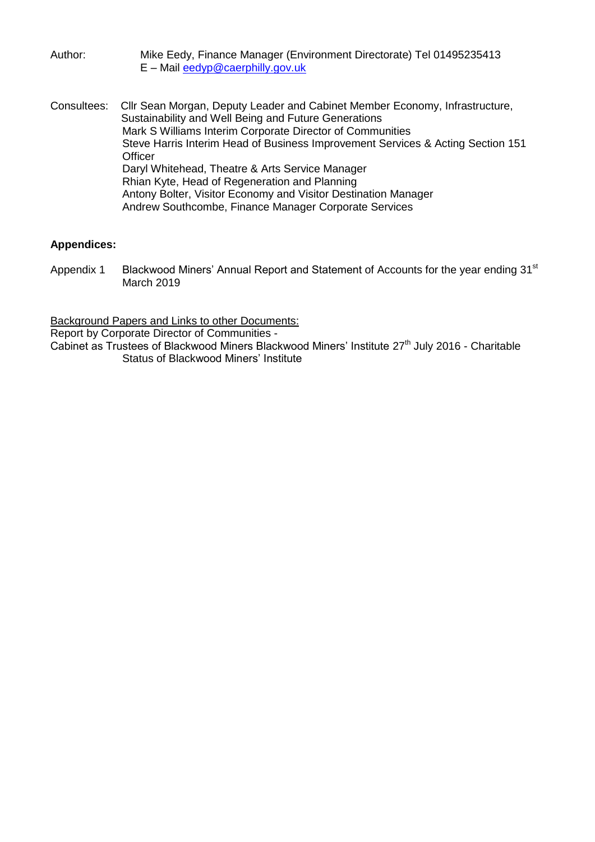Author: Mike Eedy, Finance Manager (Environment Directorate) Tel 01495235413 E – Mail [eedyp@caerphilly.gov.uk](mailto:eedyp@caerphilly.gov.uk)

Consultees: Cllr Sean Morgan, Deputy Leader and Cabinet Member Economy, Infrastructure, Sustainability and Well Being and Future Generations Mark S Williams Interim Corporate Director of Communities Steve Harris Interim Head of Business Improvement Services & Acting Section 151 **Officer** Daryl Whitehead, Theatre & Arts Service Manager Rhian Kyte, Head of Regeneration and Planning Antony Bolter, Visitor Economy and Visitor Destination Manager Andrew Southcombe, Finance Manager Corporate Services

### **Appendices:**

Appendix 1 Blackwood Miners' Annual Report and Statement of Accounts for the year ending 31<sup>st</sup> March 2019

Background Papers and Links to other Documents:

Report by Corporate Director of Communities -

Cabinet as Trustees of Blackwood Miners Blackwood Miners' Institute 27<sup>th</sup> July 2016 - Charitable Status of Blackwood Miners' Institute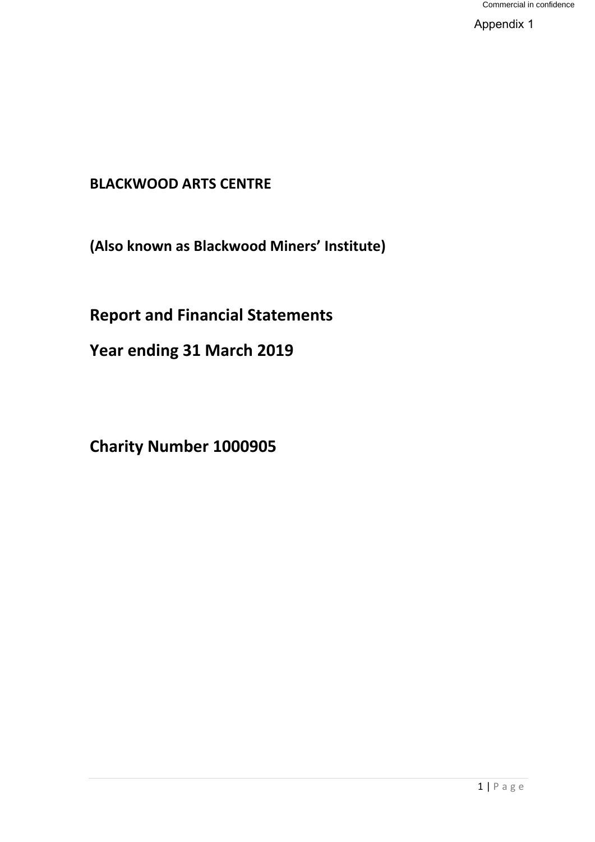Appendix 1

# **BLACKWOOD ARTS CENTRE**

**(Also known as Blackwood Miners' Institute)**

# **Report and Financial Statements**

**Year ending 31 March 2019** 

**Charity Number 1000905**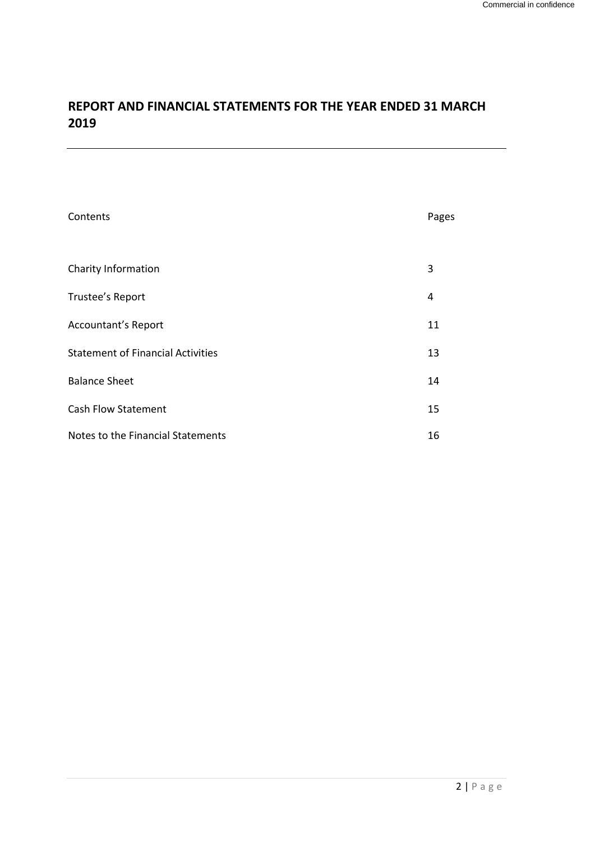# **REPORT AND FINANCIAL STATEMENTS FOR THE YEAR ENDED 31 MARCH 2019**

| Contents                                 | Pages |
|------------------------------------------|-------|
|                                          |       |
| Charity Information                      | 3     |
| Trustee's Report                         | 4     |
| Accountant's Report                      | 11    |
| <b>Statement of Financial Activities</b> | 13    |
| <b>Balance Sheet</b>                     | 14    |
| <b>Cash Flow Statement</b>               | 15    |
| Notes to the Financial Statements        | 16    |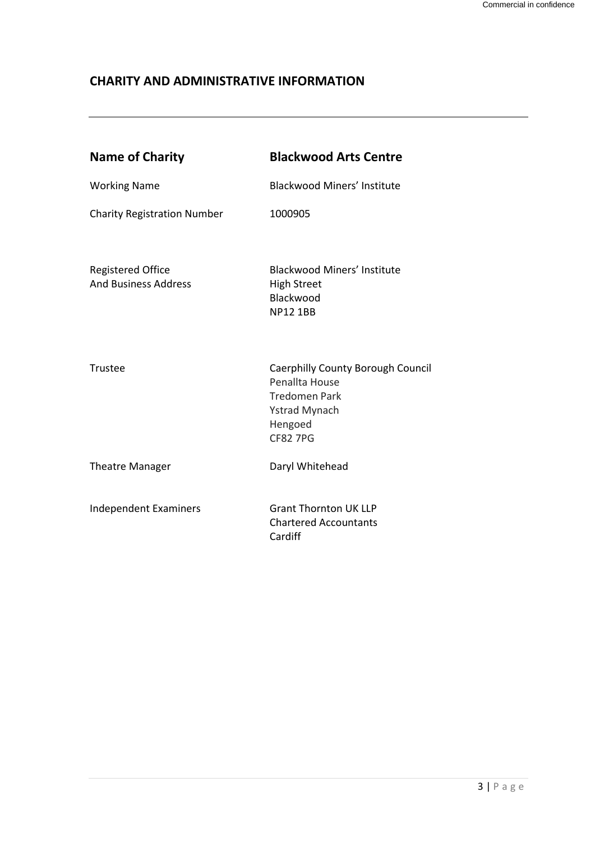# **CHARITY AND ADMINISTRATIVE INFORMATION**

| <b>Name of Charity</b>                                  | <b>Blackwood Arts Centre</b>                                                                                                      |
|---------------------------------------------------------|-----------------------------------------------------------------------------------------------------------------------------------|
| <b>Working Name</b>                                     | <b>Blackwood Miners' Institute</b>                                                                                                |
| <b>Charity Registration Number</b>                      | 1000905                                                                                                                           |
| <b>Registered Office</b><br><b>And Business Address</b> | <b>Blackwood Miners' Institute</b><br><b>High Street</b><br>Blackwood<br><b>NP12 1BB</b>                                          |
| Trustee                                                 | Caerphilly County Borough Council<br>Penallta House<br><b>Tredomen Park</b><br><b>Ystrad Mynach</b><br>Hengoed<br><b>CF82 7PG</b> |
| <b>Theatre Manager</b>                                  | Daryl Whitehead                                                                                                                   |
| <b>Independent Examiners</b>                            | <b>Grant Thornton UK LLP</b><br><b>Chartered Accountants</b><br>Cardiff                                                           |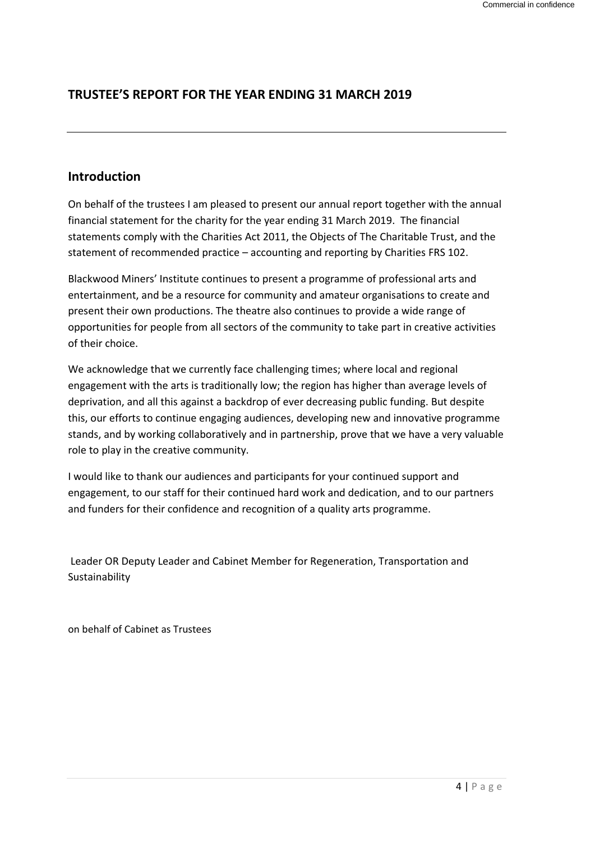# **TRUSTEE'S REPORT FOR THE YEAR ENDING 31 MARCH 2019**

# **Introduction**

On behalf of the trustees I am pleased to present our annual report together with the annual financial statement for the charity for the year ending 31 March 2019. The financial statements comply with the Charities Act 2011, the Objects of The Charitable Trust, and the statement of recommended practice – accounting and reporting by Charities FRS 102.

Blackwood Miners' Institute continues to present a programme of professional arts and entertainment, and be a resource for community and amateur organisations to create and present their own productions. The theatre also continues to provide a wide range of opportunities for people from all sectors of the community to take part in creative activities of their choice.

We acknowledge that we currently face challenging times; where local and regional engagement with the arts is traditionally low; the region has higher than average levels of deprivation, and all this against a backdrop of ever decreasing public funding. But despite this, our efforts to continue engaging audiences, developing new and innovative programme stands, and by working collaboratively and in partnership, prove that we have a very valuable role to play in the creative community.

I would like to thank our audiences and participants for your continued support and engagement, to our staff for their continued hard work and dedication, and to our partners and funders for their confidence and recognition of a quality arts programme.

Leader OR Deputy Leader and Cabinet Member for Regeneration, Transportation and Sustainability

on behalf of Cabinet as Trustees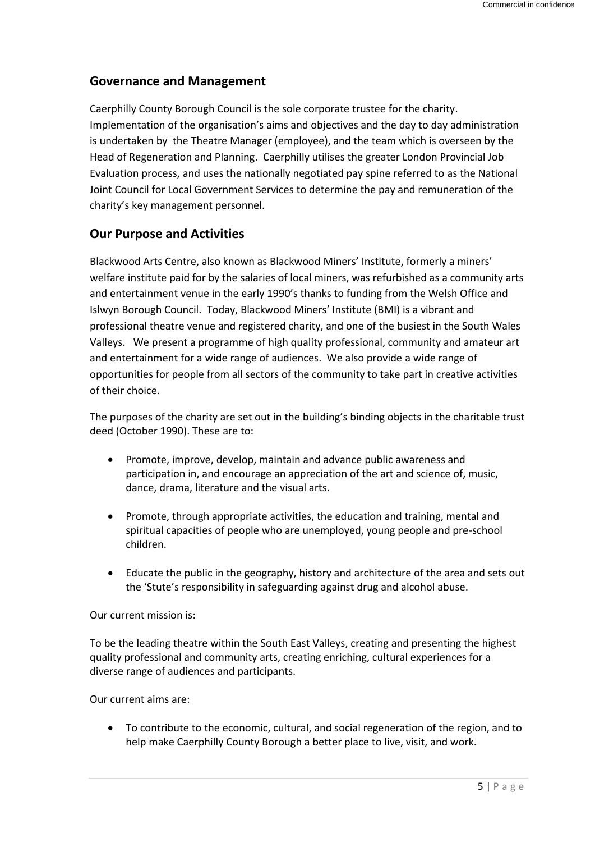# **Governance and Management**

Caerphilly County Borough Council is the sole corporate trustee for the charity. Implementation of the organisation's aims and objectives and the day to day administration is undertaken by the Theatre Manager (employee), and the team which is overseen by the Head of Regeneration and Planning. Caerphilly utilises the greater London Provincial Job Evaluation process, and uses the nationally negotiated pay spine referred to as the National Joint Council for Local Government Services to determine the pay and remuneration of the charity's key management personnel.

# **Our Purpose and Activities**

Blackwood Arts Centre, also known as Blackwood Miners' Institute, formerly a miners' welfare institute paid for by the salaries of local miners, was refurbished as a community arts and entertainment venue in the early 1990's thanks to funding from the Welsh Office and Islwyn Borough Council. Today, Blackwood Miners' Institute (BMI) is a vibrant and professional theatre venue and registered charity, and one of the busiest in the South Wales Valleys. We present a programme of high quality professional, community and amateur art and entertainment for a wide range of audiences. We also provide a wide range of opportunities for people from all sectors of the community to take part in creative activities of their choice.

The purposes of the charity are set out in the building's binding objects in the charitable trust deed (October 1990). These are to:

- Promote, improve, develop, maintain and advance public awareness and participation in, and encourage an appreciation of the art and science of, music, dance, drama, literature and the visual arts.
- Promote, through appropriate activities, the education and training, mental and spiritual capacities of people who are unemployed, young people and pre-school children.
- Educate the public in the geography, history and architecture of the area and sets out the 'Stute's responsibility in safeguarding against drug and alcohol abuse.

Our current mission is:

To be the leading theatre within the South East Valleys, creating and presenting the highest quality professional and community arts, creating enriching, cultural experiences for a diverse range of audiences and participants.

Our current aims are:

 To contribute to the economic, cultural, and social regeneration of the region, and to help make Caerphilly County Borough a better place to live, visit, and work.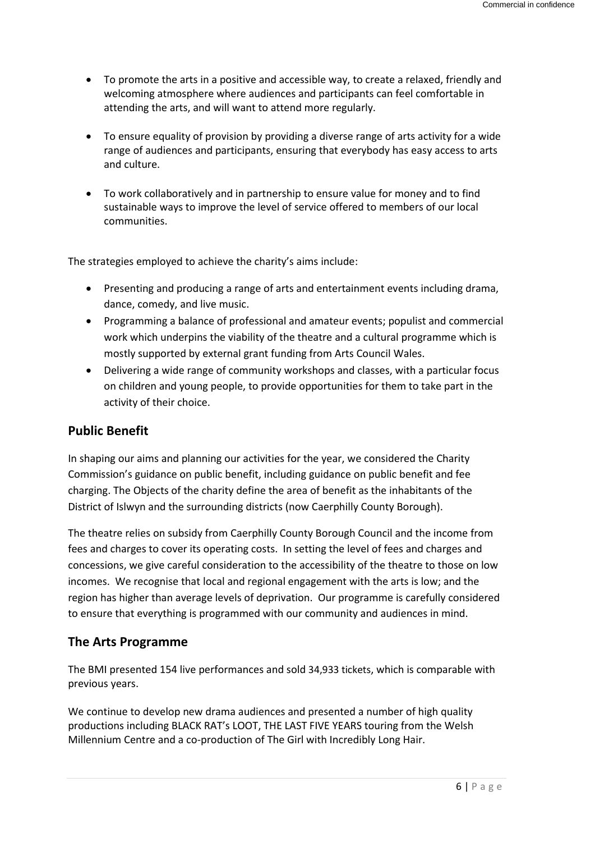- To promote the arts in a positive and accessible way, to create a relaxed, friendly and welcoming atmosphere where audiences and participants can feel comfortable in attending the arts, and will want to attend more regularly.
- To ensure equality of provision by providing a diverse range of arts activity for a wide range of audiences and participants, ensuring that everybody has easy access to arts and culture.
- To work collaboratively and in partnership to ensure value for money and to find sustainable ways to improve the level of service offered to members of our local communities.

The strategies employed to achieve the charity's aims include:

- Presenting and producing a range of arts and entertainment events including drama, dance, comedy, and live music.
- Programming a balance of professional and amateur events; populist and commercial work which underpins the viability of the theatre and a cultural programme which is mostly supported by external grant funding from Arts Council Wales.
- Delivering a wide range of community workshops and classes, with a particular focus on children and young people, to provide opportunities for them to take part in the activity of their choice.

# **Public Benefit**

In shaping our aims and planning our activities for the year, we considered the Charity Commission's guidance on public benefit, including guidance on public benefit and fee charging. The Objects of the charity define the area of benefit as the inhabitants of the District of Islwyn and the surrounding districts (now Caerphilly County Borough).

The theatre relies on subsidy from Caerphilly County Borough Council and the income from fees and charges to cover its operating costs. In setting the level of fees and charges and concessions, we give careful consideration to the accessibility of the theatre to those on low incomes. We recognise that local and regional engagement with the arts is low; and the region has higher than average levels of deprivation. Our programme is carefully considered to ensure that everything is programmed with our community and audiences in mind.

# **The Arts Programme**

The BMI presented 154 live performances and sold 34,933 tickets, which is comparable with previous years.

We continue to develop new drama audiences and presented a number of high quality productions including BLACK RAT's LOOT, THE LAST FIVE YEARS touring from the Welsh Millennium Centre and a co-production of The Girl with Incredibly Long Hair.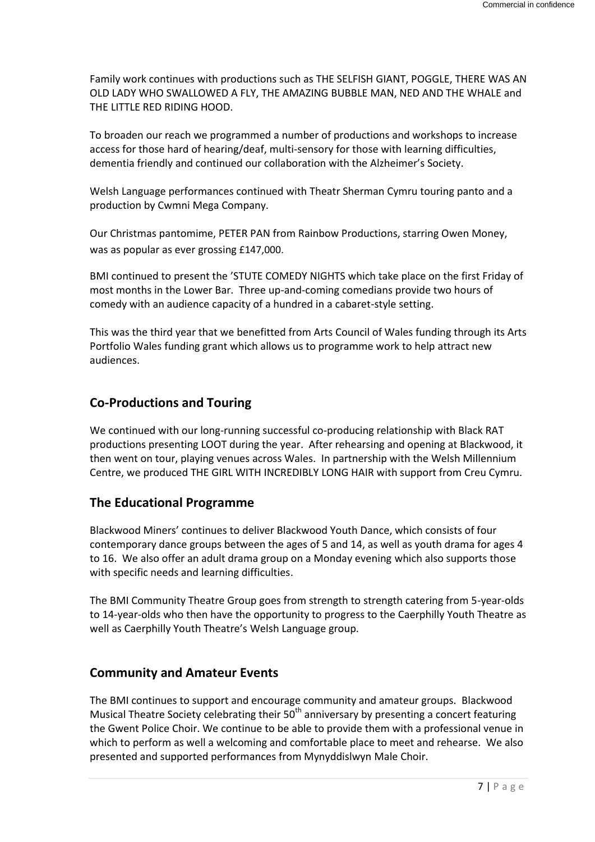Family work continues with productions such as THE SELFISH GIANT, POGGLE, THERE WAS AN OLD LADY WHO SWALLOWED A FLY, THE AMAZING BUBBLE MAN, NED AND THE WHALE and THE LITTLE RED RIDING HOOD.

To broaden our reach we programmed a number of productions and workshops to increase access for those hard of hearing/deaf, multi-sensory for those with learning difficulties, dementia friendly and continued our collaboration with the Alzheimer's Society.

Welsh Language performances continued with Theatr Sherman Cymru touring panto and a production by Cwmni Mega Company.

Our Christmas pantomime, PETER PAN from Rainbow Productions, starring Owen Money, was as popular as ever grossing £147,000.

BMI continued to present the 'STUTE COMEDY NIGHTS which take place on the first Friday of most months in the Lower Bar. Three up-and-coming comedians provide two hours of comedy with an audience capacity of a hundred in a cabaret-style setting.

This was the third year that we benefitted from Arts Council of Wales funding through its Arts Portfolio Wales funding grant which allows us to programme work to help attract new audiences.

# **Co-Productions and Touring**

We continued with our long-running successful co-producing relationship with Black RAT productions presenting LOOT during the year. After rehearsing and opening at Blackwood, it then went on tour, playing venues across Wales. In partnership with the Welsh Millennium Centre, we produced THE GIRL WITH INCREDIBLY LONG HAIR with support from Creu Cymru.

# **The Educational Programme**

Blackwood Miners' continues to deliver Blackwood Youth Dance, which consists of four contemporary dance groups between the ages of 5 and 14, as well as youth drama for ages 4 to 16. We also offer an adult drama group on a Monday evening which also supports those with specific needs and learning difficulties.

The BMI Community Theatre Group goes from strength to strength catering from 5-year-olds to 14-year-olds who then have the opportunity to progress to the Caerphilly Youth Theatre as well as Caerphilly Youth Theatre's Welsh Language group.

# **Community and Amateur Events**

The BMI continues to support and encourage community and amateur groups. Blackwood Musical Theatre Society celebrating their  $50<sup>th</sup>$  anniversary by presenting a concert featuring the Gwent Police Choir. We continue to be able to provide them with a professional venue in which to perform as well a welcoming and comfortable place to meet and rehearse. We also presented and supported performances from Mynyddislwyn Male Choir.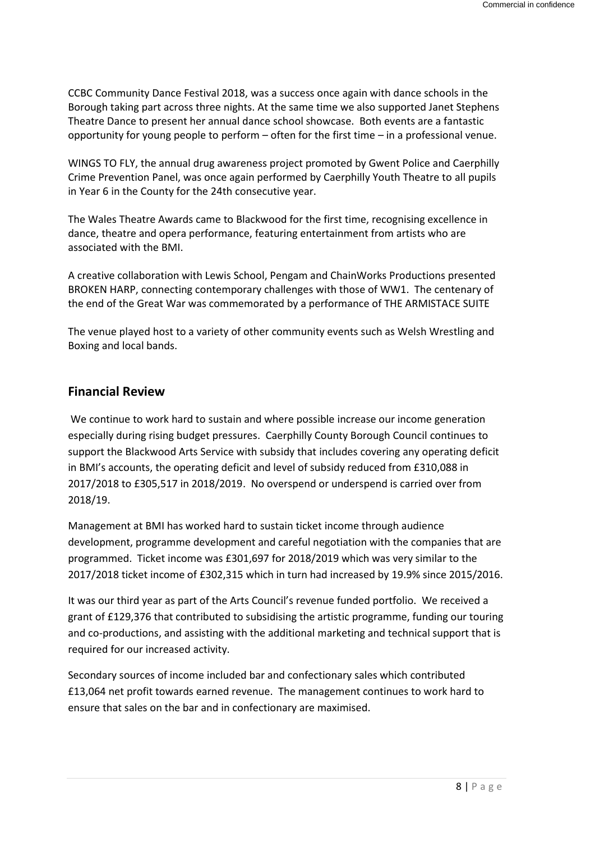CCBC Community Dance Festival 2018, was a success once again with dance schools in the Borough taking part across three nights. At the same time we also supported Janet Stephens Theatre Dance to present her annual dance school showcase. Both events are a fantastic opportunity for young people to perform – often for the first time – in a professional venue.

WINGS TO FLY, the annual drug awareness project promoted by Gwent Police and Caerphilly Crime Prevention Panel, was once again performed by Caerphilly Youth Theatre to all pupils in Year 6 in the County for the 24th consecutive year.

The Wales Theatre Awards came to Blackwood for the first time, recognising excellence in dance, theatre and opera performance, featuring entertainment from artists who are associated with the BMI.

A creative collaboration with Lewis School, Pengam and ChainWorks Productions presented BROKEN HARP, connecting contemporary challenges with those of WW1. The centenary of the end of the Great War was commemorated by a performance of THE ARMISTACE SUITE

The venue played host to a variety of other community events such as Welsh Wrestling and Boxing and local bands.

### **Financial Review**

We continue to work hard to sustain and where possible increase our income generation especially during rising budget pressures. Caerphilly County Borough Council continues to support the Blackwood Arts Service with subsidy that includes covering any operating deficit in BMI's accounts, the operating deficit and level of subsidy reduced from £310,088 in 2017/2018 to £305,517 in 2018/2019. No overspend or underspend is carried over from 2018/19.

Management at BMI has worked hard to sustain ticket income through audience development, programme development and careful negotiation with the companies that are programmed. Ticket income was £301,697 for 2018/2019 which was very similar to the 2017/2018 ticket income of £302,315 which in turn had increased by 19.9% since 2015/2016.

It was our third year as part of the Arts Council's revenue funded portfolio. We received a grant of £129,376 that contributed to subsidising the artistic programme, funding our touring and co-productions, and assisting with the additional marketing and technical support that is required for our increased activity.

Secondary sources of income included bar and confectionary sales which contributed £13,064 net profit towards earned revenue. The management continues to work hard to ensure that sales on the bar and in confectionary are maximised.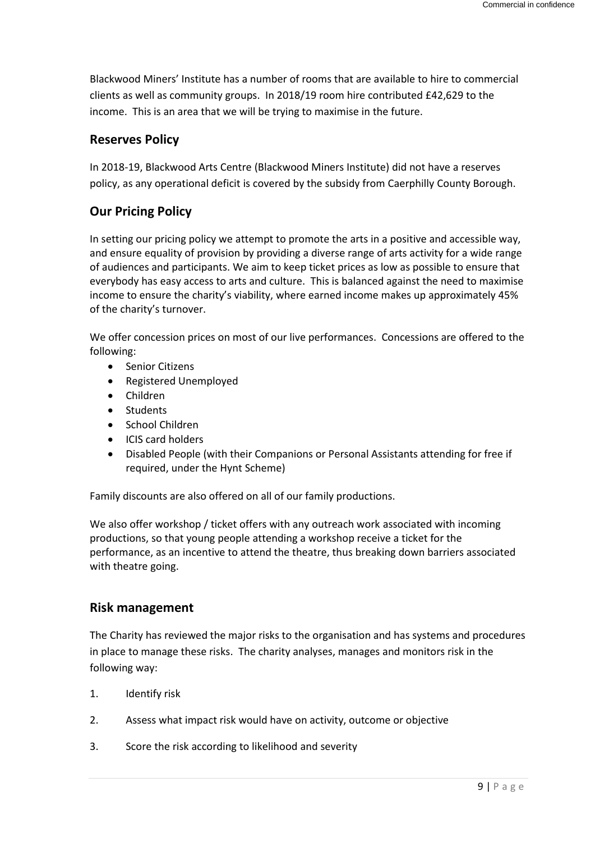Blackwood Miners' Institute has a number of rooms that are available to hire to commercial clients as well as community groups. In 2018/19 room hire contributed £42,629 to the income. This is an area that we will be trying to maximise in the future.

# **Reserves Policy**

In 2018-19, Blackwood Arts Centre (Blackwood Miners Institute) did not have a reserves policy, as any operational deficit is covered by the subsidy from Caerphilly County Borough.

# **Our Pricing Policy**

In setting our pricing policy we attempt to promote the arts in a positive and accessible way, and ensure equality of provision by providing a diverse range of arts activity for a wide range of audiences and participants. We aim to keep ticket prices as low as possible to ensure that everybody has easy access to arts and culture. This is balanced against the need to maximise income to ensure the charity's viability, where earned income makes up approximately 45% of the charity's turnover.

We offer concession prices on most of our live performances. Concessions are offered to the following:

- Senior Citizens
- Registered Unemployed
- Children
- Students
- School Children
- ICIS card holders
- Disabled People (with their Companions or Personal Assistants attending for free if required, under the Hynt Scheme)

Family discounts are also offered on all of our family productions.

We also offer workshop / ticket offers with any outreach work associated with incoming productions, so that young people attending a workshop receive a ticket for the performance, as an incentive to attend the theatre, thus breaking down barriers associated with theatre going.

# **Risk management**

The Charity has reviewed the major risks to the organisation and has systems and procedures in place to manage these risks. The charity analyses, manages and monitors risk in the following way:

- 1. Identify risk
- 2. Assess what impact risk would have on activity, outcome or objective
- 3. Score the risk according to likelihood and severity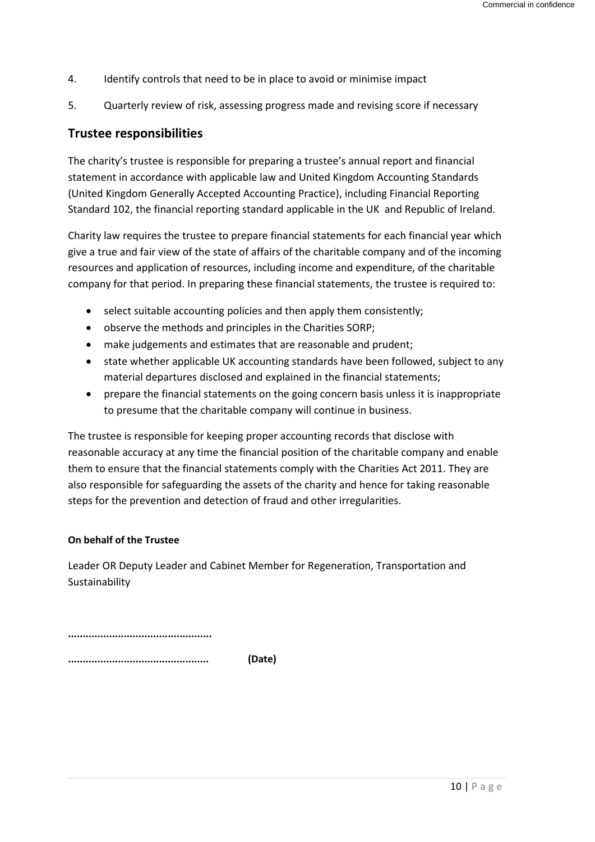- 4. Identify controls that need to be in place to avoid or minimise impact
- 5. Quarterly review of risk, assessing progress made and revising score if necessary

### **Trustee responsibilities**

The charity's trustee is responsible for preparing a trustee's annual report and financial statement in accordance with applicable law and United Kingdom Accounting Standards (United Kingdom Generally Accepted Accounting Practice), including Financial Reporting Standard 102, the financial reporting standard applicable in the UK and Republic of Ireland.

Charity law requires the trustee to prepare financial statements for each financial year which give a true and fair view of the state of affairs of the charitable company and of the incoming resources and application of resources, including income and expenditure, of the charitable company for that period. In preparing these financial statements, the trustee is required to:

- select suitable accounting policies and then apply them consistently;
- observe the methods and principles in the Charities SORP;
- make judgements and estimates that are reasonable and prudent;
- state whether applicable UK accounting standards have been followed, subject to any material departures disclosed and explained in the financial statements;
- prepare the financial statements on the going concern basis unless it is inappropriate to presume that the charitable company will continue in business.

The trustee is responsible for keeping proper accounting records that disclose with reasonable accuracy at any time the financial position of the charitable company and enable them to ensure that the financial statements comply with the Charities Act 2011. They are also responsible for safeguarding the assets of the charity and hence for taking reasonable steps for the prevention and detection of fraud and other irregularities.

### **On behalf of the Trustee**

Leader OR Deputy Leader and Cabinet Member for Regeneration, Transportation and Sustainability

**.................................................**

**................................................ (Date)**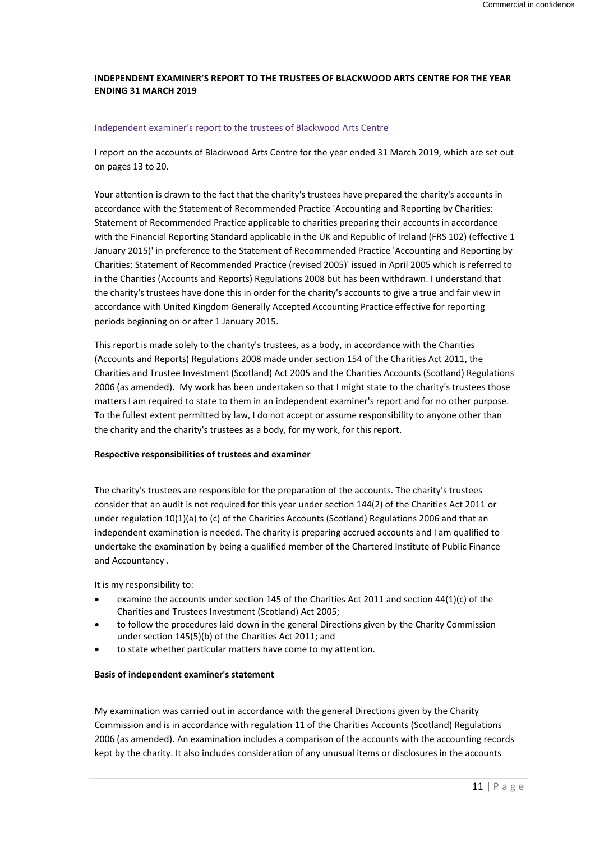#### **INDEPENDENT EXAMINER'S REPORT TO THE TRUSTEES OF BLACKWOOD ARTS CENTRE FOR THE YEAR ENDING 31 MARCH 2019**

#### Independent examiner's report to the trustees of Blackwood Arts Centre

I report on the accounts of Blackwood Arts Centre for the year ended 31 March 2019, which are set out on pages 13 to 20.

Your attention is drawn to the fact that the charity's trustees have prepared the charity's accounts in accordance with the Statement of Recommended Practice 'Accounting and Reporting by Charities: Statement of Recommended Practice applicable to charities preparing their accounts in accordance with the Financial Reporting Standard applicable in the UK and Republic of Ireland (FRS 102) (effective 1 January 2015)' in preference to the Statement of Recommended Practice 'Accounting and Reporting by Charities: Statement of Recommended Practice (revised 2005)' issued in April 2005 which is referred to in the Charities (Accounts and Reports) Regulations 2008 but has been withdrawn. I understand that the charity's trustees have done this in order for the charity's accounts to give a true and fair view in accordance with United Kingdom Generally Accepted Accounting Practice effective for reporting periods beginning on or after 1 January 2015.

This report is made solely to the charity's trustees, as a body, in accordance with the Charities (Accounts and Reports) Regulations 2008 made under section 154 of the Charities Act 2011, the Charities and Trustee Investment (Scotland) Act 2005 and the Charities Accounts (Scotland) Regulations 2006 (as amended). My work has been undertaken so that I might state to the charity's trustees those matters I am required to state to them in an independent examiner's report and for no other purpose. To the fullest extent permitted by law, I do not accept or assume responsibility to anyone other than the charity and the charity's trustees as a body, for my work, for this report.

#### **Respective responsibilities of trustees and examiner**

The charity's trustees are responsible for the preparation of the accounts. The charity's trustees consider that an audit is not required for this year under section 144(2) of the Charities Act 2011 or under regulation 10(1)(a) to (c) of the Charities Accounts (Scotland) Regulations 2006 and that an independent examination is needed. The charity is preparing accrued accounts and I am qualified to undertake the examination by being a qualified member of the Chartered Institute of Public Finance and Accountancy .

It is my responsibility to:

- examine the accounts under section 145 of the Charities Act 2011 and section 44(1)(c) of the Charities and Trustees Investment (Scotland) Act 2005;
- to follow the procedures laid down in the general Directions given by the Charity Commission under section 145(5)(b) of the Charities Act 2011; and
- to state whether particular matters have come to my attention.

#### **Basis of independent examiner's statement**

My examination was carried out in accordance with the general Directions given by the Charity Commission and is in accordance with regulation 11 of the Charities Accounts (Scotland) Regulations 2006 (as amended). An examination includes a comparison of the accounts with the accounting records kept by the charity. It also includes consideration of any unusual items or disclosures in the accounts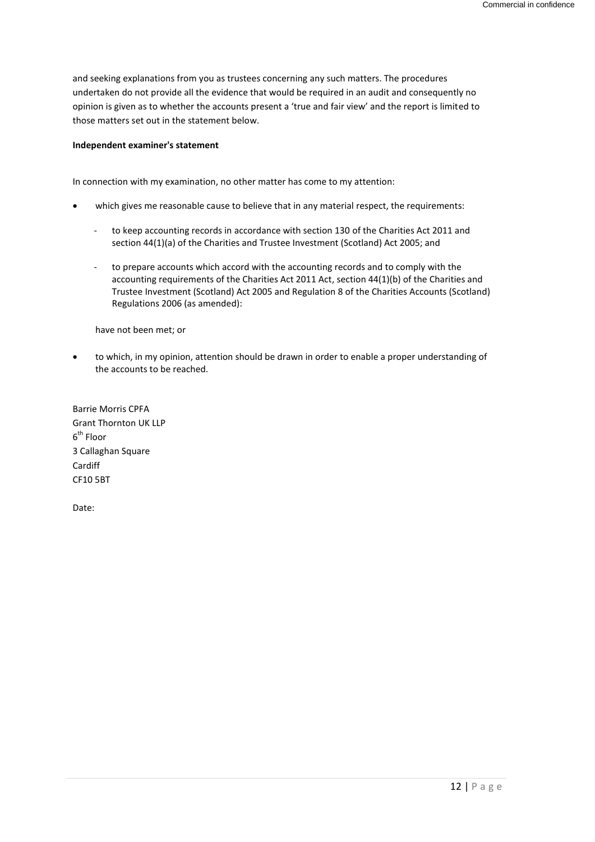and seeking explanations from you as trustees concerning any such matters. The procedures undertaken do not provide all the evidence that would be required in an audit and consequently no opinion is given as to whether the accounts present a 'true and fair view' and the report is limited to those matters set out in the statement below.

#### **Independent examiner's statement**

In connection with my examination, no other matter has come to my attention:

- which gives me reasonable cause to believe that in any material respect, the requirements:
	- to keep accounting records in accordance with section 130 of the Charities Act 2011 and section 44(1)(a) of the Charities and Trustee Investment (Scotland) Act 2005; and
	- to prepare accounts which accord with the accounting records and to comply with the accounting requirements of the Charities Act 2011 Act, section 44(1)(b) of the Charities and Trustee Investment (Scotland) Act 2005 and Regulation 8 of the Charities Accounts (Scotland) Regulations 2006 (as amended):

have not been met; or

 to which, in my opinion, attention should be drawn in order to enable a proper understanding of the accounts to be reached.

Barrie Morris CPFA Grant Thornton UK LLP 6<sup>th</sup> Floor 3 Callaghan Square Cardiff CF10 5BT

Date: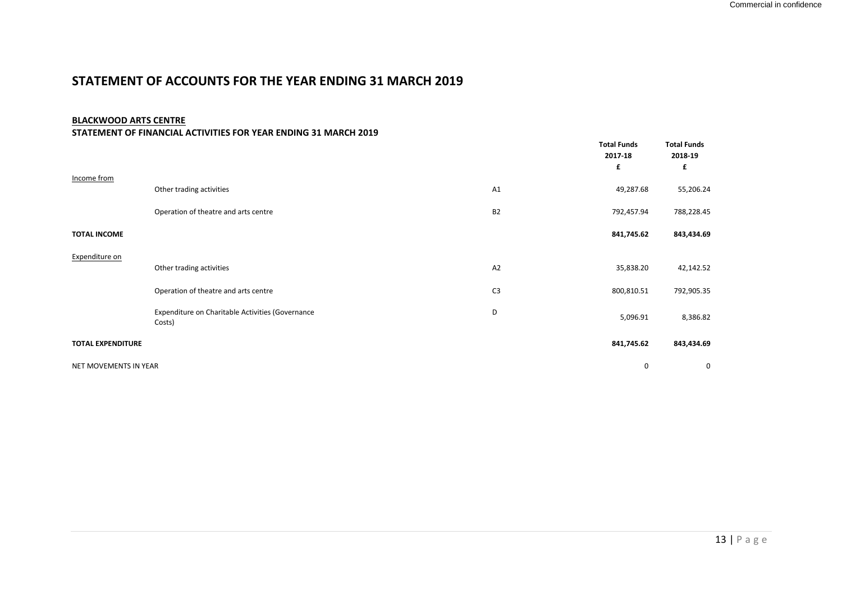# **STATEMENT OF ACCOUNTS FOR THE YEAR ENDING 31 MARCH 2019**

#### **BLACKWOOD ARTS CENTRE**

#### **STATEMENT OF FINANCIAL ACTIVITIES FOR YEAR ENDING 31 MARCH 2019**

|                          |                                                            |                | <b>Total Funds</b><br>2017-18<br>£ | <b>Total Funds</b><br>2018-19<br>£ |
|--------------------------|------------------------------------------------------------|----------------|------------------------------------|------------------------------------|
| Income from              | Other trading activities                                   | A1             | 49,287.68                          | 55,206.24                          |
|                          | Operation of theatre and arts centre                       | B <sub>2</sub> | 792,457.94                         | 788,228.45                         |
| <b>TOTAL INCOME</b>      |                                                            |                | 841,745.62                         | 843,434.69                         |
| Expenditure on           |                                                            |                |                                    |                                    |
|                          | Other trading activities                                   | A2             | 35,838.20                          | 42,142.52                          |
|                          | Operation of theatre and arts centre                       | C <sub>3</sub> | 800,810.51                         | 792,905.35                         |
|                          | Expenditure on Charitable Activities (Governance<br>Costs) | D              | 5,096.91                           | 8,386.82                           |
| <b>TOTAL EXPENDITURE</b> |                                                            |                | 841,745.62                         | 843,434.69                         |
| NET MOVEMENTS IN YEAR    |                                                            |                | 0                                  | 0                                  |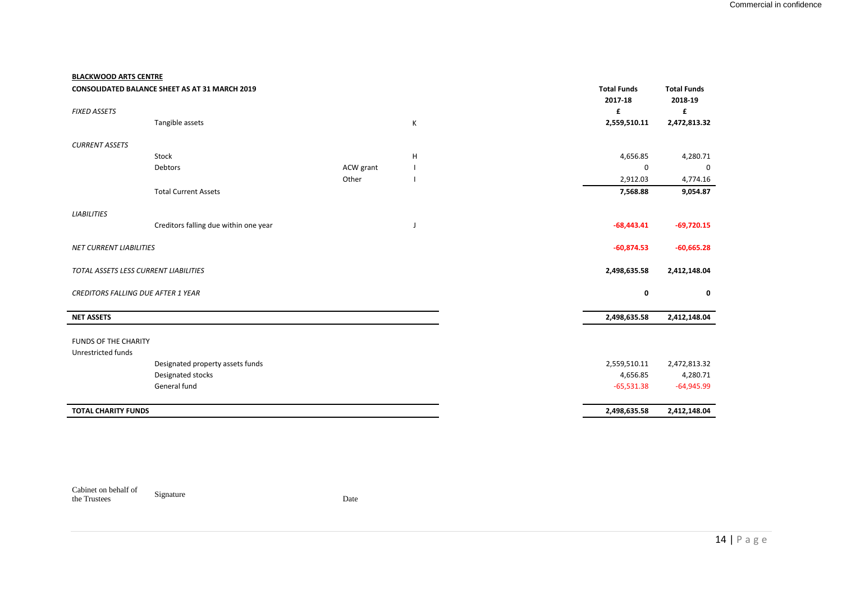#### **BLACKWOOD ARTS CENTRE**

|                                           | <b>CONSOLIDATED BALANCE SHEET AS AT 31 MARCH 2019</b> |           |   | <b>Total Funds</b><br>2017-18 | <b>Total Funds</b><br>2018-19 |
|-------------------------------------------|-------------------------------------------------------|-----------|---|-------------------------------|-------------------------------|
| <b>FIXED ASSETS</b>                       |                                                       |           |   | £                             | £                             |
|                                           | Tangible assets                                       |           | К | 2,559,510.11                  | 2,472,813.32                  |
| <b>CURRENT ASSETS</b>                     |                                                       |           |   |                               |                               |
|                                           | Stock                                                 |           | н | 4,656.85                      | 4,280.71                      |
|                                           | Debtors                                               | ACW grant |   | 0                             | 0                             |
|                                           |                                                       | Other     |   | 2,912.03                      | 4,774.16                      |
|                                           | <b>Total Current Assets</b>                           |           |   | 7,568.88                      | 9,054.87                      |
| <b>LIABILITIES</b>                        |                                                       |           |   |                               |                               |
|                                           | Creditors falling due within one year                 |           | J | $-68,443.41$                  | $-69,720.15$                  |
| <b>NET CURRENT LIABILITIES</b>            |                                                       |           |   | $-60,874.53$                  | $-60,665.28$                  |
| TOTAL ASSETS LESS CURRENT LIABILITIES     |                                                       |           |   | 2,498,635.58                  | 2,412,148.04                  |
| <b>CREDITORS FALLING DUE AFTER 1 YEAR</b> |                                                       |           |   | 0                             | 0                             |
| <b>NET ASSETS</b>                         |                                                       |           |   | 2,498,635.58                  | 2,412,148.04                  |
| <b>FUNDS OF THE CHARITY</b>               |                                                       |           |   |                               |                               |
| Unrestricted funds                        |                                                       |           |   |                               |                               |
|                                           | Designated property assets funds                      |           |   | 2,559,510.11                  | 2,472,813.32                  |
|                                           | Designated stocks                                     |           |   | 4,656.85                      | 4,280.71                      |
|                                           | General fund                                          |           |   | $-65,531.38$                  | $-64,945.99$                  |
| <b>TOTAL CHARITY FUNDS</b>                |                                                       |           |   | 2,498,635.58                  | 2,412,148.04                  |

Cabinet on behalf of the Trustees Signature Date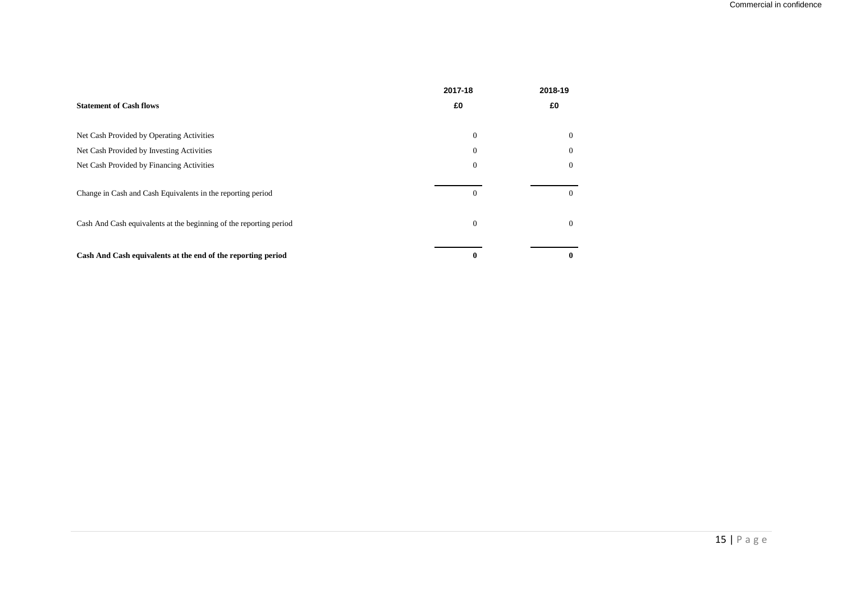|                                                                    | 2017-18      | 2018-19  |
|--------------------------------------------------------------------|--------------|----------|
| <b>Statement of Cash flows</b>                                     | £0           | £0       |
| Net Cash Provided by Operating Activities                          | $\Omega$     |          |
| Net Cash Provided by Investing Activities                          | $\Omega$     |          |
| Net Cash Provided by Financing Activities                          | $\Omega$     |          |
| Change in Cash and Cash Equivalents in the reporting period        | $\Omega$     | 0        |
| Cash And Cash equivalents at the beginning of the reporting period | $\mathbf{0}$ | $\Omega$ |
| Cash And Cash equivalents at the end of the reporting period       |              |          |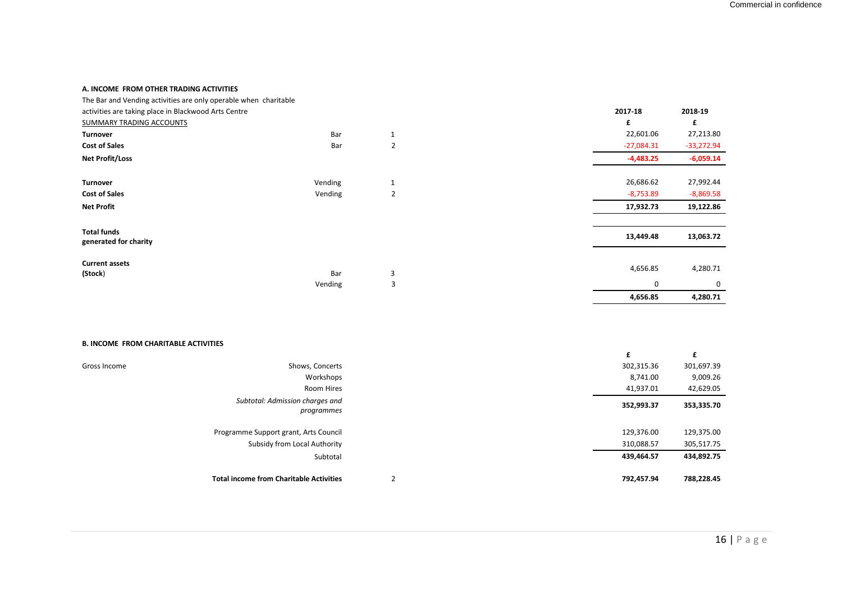#### **A. INCOME FROM OTHER TRADING ACTIVITIES**

| The Bar and Vending activities are only operable when charitable |         |                |              |              |
|------------------------------------------------------------------|---------|----------------|--------------|--------------|
| activities are taking place in Blackwood Arts Centre             |         |                | 2017-18      | 2018-19      |
| SUMMARY TRADING ACCOUNTS                                         |         |                | £            | £            |
| <b>Turnover</b>                                                  | Bar     |                | 22,601.06    | 27,213.80    |
| <b>Cost of Sales</b>                                             | Bar     | 2              | $-27,084.31$ | $-33,272.94$ |
| <b>Net Profit/Loss</b>                                           |         |                | $-4,483.25$  | $-6,059.14$  |
| <b>Turnover</b>                                                  | Vending |                | 26,686.62    | 27,992.44    |
| <b>Cost of Sales</b>                                             | Vending | $\overline{2}$ | $-8,753.89$  | $-8,869.58$  |
| <b>Net Profit</b>                                                |         |                | 17,932.73    | 19,122.86    |
| <b>Total funds</b>                                               |         |                |              |              |
| generated for charity                                            |         |                | 13,449.48    | 13,063.72    |
| <b>Current assets</b>                                            |         |                |              |              |
| (Stock)                                                          | Bar     | 3              | 4,656.85     | 4,280.71     |
|                                                                  | Vending | 3              | $\Omega$     | $\Omega$     |
|                                                                  |         |                | 4,656.85     | 4,280.71     |

#### **B. INCOME FROM CHARITABLE ACTIVITIES**

| Gross Income | Shows, Concerts                                | 302,315.36 | 301,697.39 |
|--------------|------------------------------------------------|------------|------------|
|              | Workshops                                      | 8,741.00   | 9,009.26   |
|              | Room Hires                                     | 41,937.01  | 42,629.05  |
|              | Subtotal: Admission charges and<br>programmes  | 352,993.37 | 353,335.70 |
|              | Programme Support grant, Arts Council          | 129,376.00 | 129,375.00 |
|              | Subsidy from Local Authority                   | 310,088.57 | 305,517.75 |
|              | Subtotal                                       | 439,464.57 | 434,892.75 |
|              | <b>Total income from Charitable Activities</b> | 792,457.94 | 788,228.45 |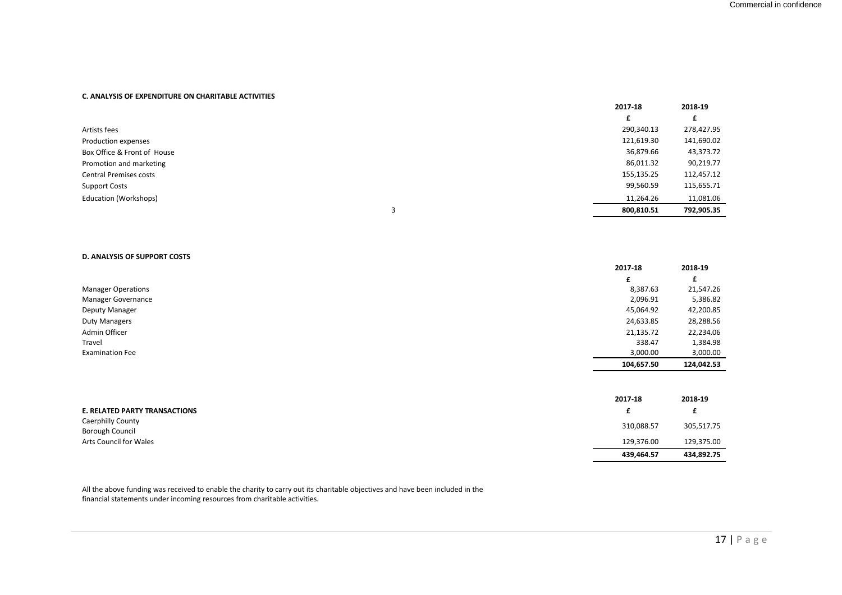#### **C. ANALYSIS OF EXPENDITURE ON CHARITABLE ACTIVITIES**

|                               | 2017-18    | 2018-19    |
|-------------------------------|------------|------------|
|                               |            |            |
| Artists fees                  | 290,340.13 | 278,427.95 |
| Production expenses           | 121,619.30 | 141,690.02 |
| Box Office & Front of House   | 36,879.66  | 43,373.72  |
| Promotion and marketing       | 86,011.32  | 90,219.77  |
| <b>Central Premises costs</b> | 155,135.25 | 112,457.12 |
| <b>Support Costs</b>          | 99,560.59  | 115,655.71 |
| Education (Workshops)         | 11,264.26  | 11,081.06  |
|                               | 800,810.51 | 792,905.35 |

#### **D. ANALYSIS OF SUPPORT COSTS**

|                           | 2017-18    | 2018-19    |
|---------------------------|------------|------------|
|                           | £          |            |
| <b>Manager Operations</b> | 8,387.63   | 21,547.26  |
| Manager Governance        | 2,096.91   | 5,386.82   |
| Deputy Manager            | 45,064.92  | 42,200.85  |
| <b>Duty Managers</b>      | 24,633.85  | 28,288.56  |
| Admin Officer             | 21,135.72  | 22,234.06  |
| Travel                    | 338.47     | 1,384.98   |
| <b>Examination Fee</b>    | 3,000.00   | 3,000.00   |
|                           | 104,657.50 | 124,042.53 |

|                                             | 2017-18    | 2018-19    |
|---------------------------------------------|------------|------------|
| <b>E. RELATED PARTY TRANSACTIONS</b>        |            |            |
| <b>Caerphilly County</b><br>Borough Council | 310,088.57 | 305,517.75 |
| Arts Council for Wales                      | 129,376.00 | 129,375.00 |
|                                             | 439,464.57 | 434,892.75 |

All the above funding was received to enable the charity to carry out its charitable objectives and have been included in the financial statements under incoming resources from charitable activities.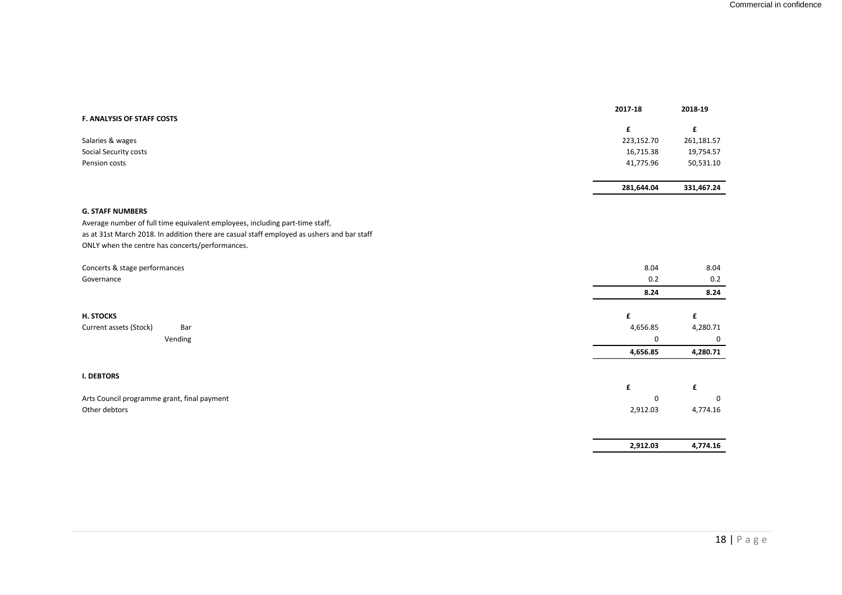| F. ANALYSIS OF STAFF COSTS                                                                 | 2017-18     | 2018-19     |
|--------------------------------------------------------------------------------------------|-------------|-------------|
|                                                                                            | £           | £           |
| Salaries & wages                                                                           | 223,152.70  | 261,181.57  |
| Social Security costs                                                                      | 16,715.38   | 19,754.57   |
| Pension costs                                                                              | 41,775.96   | 50,531.10   |
|                                                                                            | 281,644.04  | 331,467.24  |
| <b>G. STAFF NUMBERS</b>                                                                    |             |             |
| Average number of full time equivalent employees, including part-time staff,               |             |             |
| as at 31st March 2018. In addition there are casual staff employed as ushers and bar staff |             |             |
| ONLY when the centre has concerts/performances.                                            |             |             |
|                                                                                            |             |             |
| Concerts & stage performances                                                              | 8.04        | 8.04        |
| Governance                                                                                 | 0.2         | 0.2         |
|                                                                                            | 8.24        | 8.24        |
| H. STOCKS                                                                                  | £           | £           |
| Current assets (Stock)<br>Bar                                                              | 4,656.85    | 4,280.71    |
| Vending                                                                                    | $\mathbf 0$ | $\mathbf 0$ |
|                                                                                            | 4,656.85    | 4,280.71    |
| <b>I. DEBTORS</b>                                                                          |             |             |
|                                                                                            | £           | £           |
| Arts Council programme grant, final payment                                                | $\Omega$    | $\Omega$    |
| Other debtors                                                                              | 2,912.03    | 4,774.16    |
|                                                                                            |             |             |
|                                                                                            | 2,912.03    | 4,774.16    |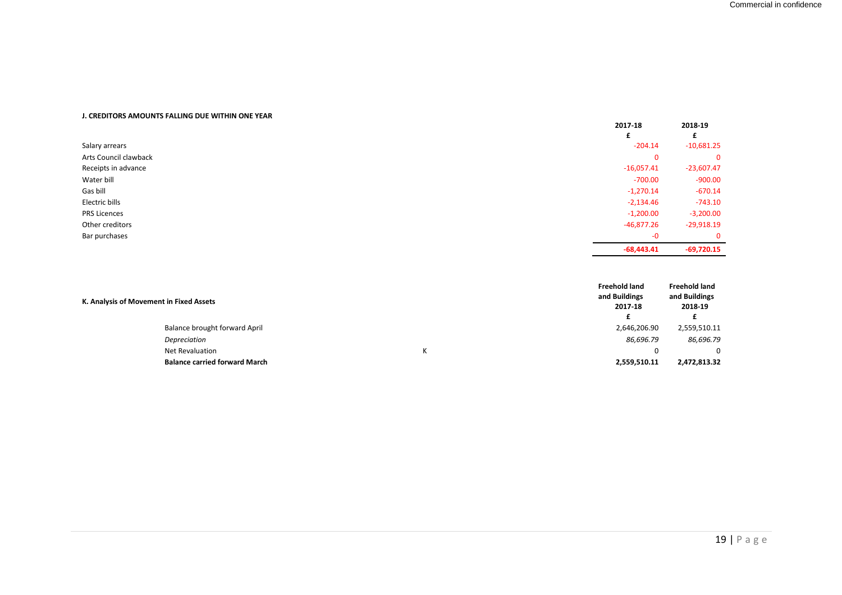#### **J. CREDITORS AMOUNTS FALLING DUE WITHIN ONE YEAR**

|                       | 2017-18      | 2018-19      |
|-----------------------|--------------|--------------|
| Salary arrears        | $-204.14$    | $-10,681.25$ |
| Arts Council clawback | $\mathbf 0$  | $\Omega$     |
| Receipts in advance   | $-16,057.41$ | $-23,607.47$ |
| Water bill            | $-700.00$    | $-900.00$    |
| Gas bill              | $-1,270.14$  | $-670.14$    |
| Electric bills        | $-2,134.46$  | $-743.10$    |
| <b>PRS Licences</b>   | $-1,200.00$  | $-3,200.00$  |
| Other creditors       | $-46,877.26$ | $-29,918.19$ |
| Bar purchases         | $-0$         | $\Omega$     |
|                       | $-68,443.41$ | $-69,720.15$ |

| K. Analysis of Movement in Fixed Assets | <b>Freehold land</b><br>and Buildings<br>2017-18 | <b>Freehold land</b><br>and Buildings<br>2018-19 |
|-----------------------------------------|--------------------------------------------------|--------------------------------------------------|
| Balance brought forward April           | 2,646,206.90                                     | 2,559,510.11                                     |
| Depreciation                            | 86,696.79                                        | 86,696.79                                        |
| <b>Net Revaluation</b>                  |                                                  | 0                                                |
| <b>Balance carried forward March</b>    | 2,559,510.11                                     | 2,472,813.32                                     |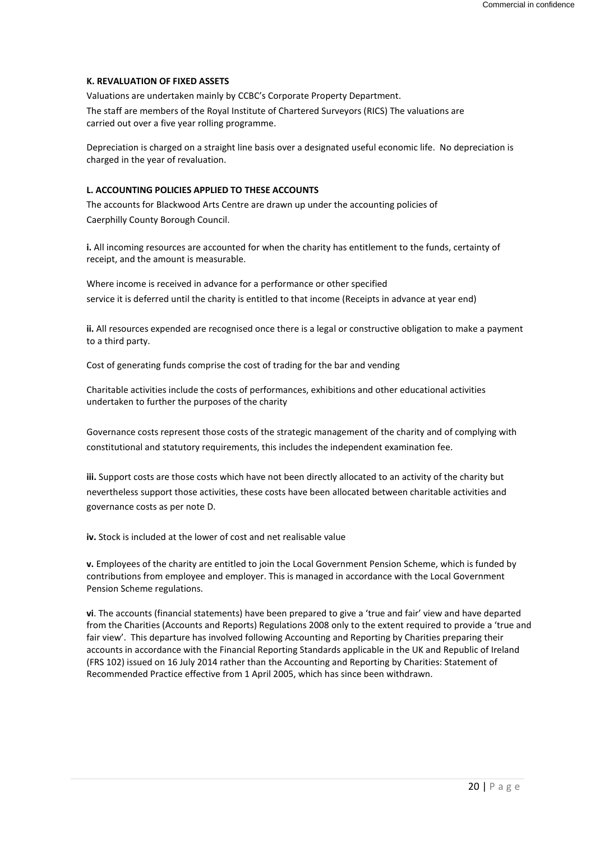#### **K. REVALUATION OF FIXED ASSETS**

Valuations are undertaken mainly by CCBC's Corporate Property Department.

The staff are members of the Royal Institute of Chartered Surveyors (RICS) The valuations are carried out over a five year rolling programme.

Depreciation is charged on a straight line basis over a designated useful economic life. No depreciation is charged in the year of revaluation.

#### **L. ACCOUNTING POLICIES APPLIED TO THESE ACCOUNTS**

The accounts for Blackwood Arts Centre are drawn up under the accounting policies of Caerphilly County Borough Council.

**i.** All incoming resources are accounted for when the charity has entitlement to the funds, certainty of receipt, and the amount is measurable.

Where income is received in advance for a performance or other specified service it is deferred until the charity is entitled to that income (Receipts in advance at year end)

**ii.** All resources expended are recognised once there is a legal or constructive obligation to make a payment to a third party.

Cost of generating funds comprise the cost of trading for the bar and vending

Charitable activities include the costs of performances, exhibitions and other educational activities undertaken to further the purposes of the charity

Governance costs represent those costs of the strategic management of the charity and of complying with constitutional and statutory requirements, this includes the independent examination fee.

**iii.** Support costs are those costs which have not been directly allocated to an activity of the charity but nevertheless support those activities, these costs have been allocated between charitable activities and governance costs as per note D.

**iv.** Stock is included at the lower of cost and net realisable value

**v.** Employees of the charity are entitled to join the Local Government Pension Scheme, which is funded by contributions from employee and employer. This is managed in accordance with the Local Government Pension Scheme regulations.

**vi**. The accounts (financial statements) have been prepared to give a 'true and fair' view and have departed from the Charities (Accounts and Reports) Regulations 2008 only to the extent required to provide a 'true and fair view'. This departure has involved following Accounting and Reporting by Charities preparing their accounts in accordance with the Financial Reporting Standards applicable in the UK and Republic of Ireland (FRS 102) issued on 16 July 2014 rather than the Accounting and Reporting by Charities: Statement of Recommended Practice effective from 1 April 2005, which has since been withdrawn.